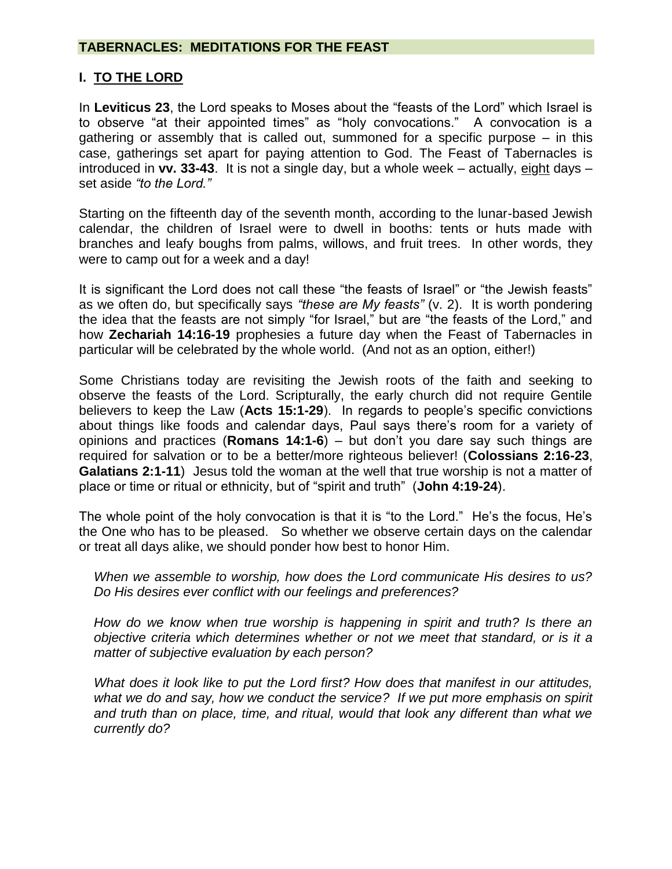### **I. TO THE LORD**

In **Leviticus 23**, the Lord speaks to Moses about the "feasts of the Lord" which Israel is to observe "at their appointed times" as "holy convocations." A convocation is a gathering or assembly that is called out, summoned for a specific purpose – in this case, gatherings set apart for paying attention to God. The Feast of Tabernacles is introduced in **vv. 33-43**. It is not a single day, but a whole week – actually, eight days – set aside *"to the Lord."*

Starting on the fifteenth day of the seventh month, according to the lunar-based Jewish calendar, the children of Israel were to dwell in booths: tents or huts made with branches and leafy boughs from palms, willows, and fruit trees. In other words, they were to camp out for a week and a day!

It is significant the Lord does not call these "the feasts of Israel" or "the Jewish feasts" as we often do, but specifically says *"these are My feasts"* (v. 2). It is worth pondering the idea that the feasts are not simply "for Israel," but are "the feasts of the Lord," and how **Zechariah 14:16-19** prophesies a future day when the Feast of Tabernacles in particular will be celebrated by the whole world. (And not as an option, either!)

Some Christians today are revisiting the Jewish roots of the faith and seeking to observe the feasts of the Lord. Scripturally, the early church did not require Gentile believers to keep the Law (**Acts 15:1-29**). In regards to people's specific convictions about things like foods and calendar days, Paul says there's room for a variety of opinions and practices (**Romans 14:1-6**) – but don't you dare say such things are required for salvation or to be a better/more righteous believer! (**Colossians 2:16-23**, **Galatians 2:1-11**) Jesus told the woman at the well that true worship is not a matter of place or time or ritual or ethnicity, but of "spirit and truth" (**John 4:19-24**).

The whole point of the holy convocation is that it is "to the Lord." He's the focus, He's the One who has to be pleased. So whether we observe certain days on the calendar or treat all days alike, we should ponder how best to honor Him.

*When we assemble to worship, how does the Lord communicate His desires to us? Do His desires ever conflict with our feelings and preferences?*

*How do we know when true worship is happening in spirit and truth? Is there an objective criteria which determines whether or not we meet that standard, or is it a matter of subjective evaluation by each person?*

*What does it look like to put the Lord first? How does that manifest in our attitudes, what we do and say, how we conduct the service? If we put more emphasis on spirit and truth than on place, time, and ritual, would that look any different than what we currently do?*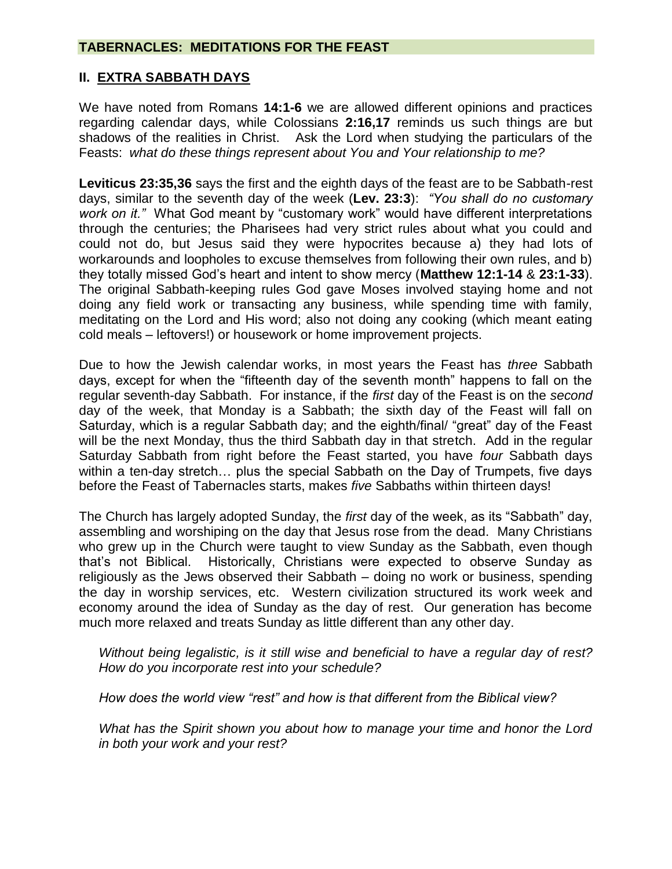# **II. EXTRA SABBATH DAYS**

We have noted from Romans **14:1-6** we are allowed different opinions and practices regarding calendar days, while Colossians **2:16,17** reminds us such things are but shadows of the realities in Christ. Ask the Lord when studying the particulars of the Feasts: *what do these things represent about You and Your relationship to me?*

**Leviticus 23:35,36** says the first and the eighth days of the feast are to be Sabbath-rest days, similar to the seventh day of the week (**Lev. 23:3**): *"You shall do no customary work on it."* What God meant by "customary work" would have different interpretations through the centuries; the Pharisees had very strict rules about what you could and could not do, but Jesus said they were hypocrites because a) they had lots of workarounds and loopholes to excuse themselves from following their own rules, and b) they totally missed God's heart and intent to show mercy (**Matthew 12:1-14** & **23:1-33**). The original Sabbath-keeping rules God gave Moses involved staying home and not doing any field work or transacting any business, while spending time with family, meditating on the Lord and His word; also not doing any cooking (which meant eating cold meals – leftovers!) or housework or home improvement projects.

Due to how the Jewish calendar works, in most years the Feast has *three* Sabbath days, except for when the "fifteenth day of the seventh month" happens to fall on the regular seventh-day Sabbath. For instance, if the *first* day of the Feast is on the *second* day of the week, that Monday is a Sabbath; the sixth day of the Feast will fall on Saturday, which is a regular Sabbath day; and the eighth/final/ "great" day of the Feast will be the next Monday, thus the third Sabbath day in that stretch. Add in the regular Saturday Sabbath from right before the Feast started, you have *four* Sabbath days within a ten-day stretch... plus the special Sabbath on the Day of Trumpets, five days before the Feast of Tabernacles starts, makes *five* Sabbaths within thirteen days!

The Church has largely adopted Sunday, the *first* day of the week, as its "Sabbath" day, assembling and worshiping on the day that Jesus rose from the dead. Many Christians who grew up in the Church were taught to view Sunday as the Sabbath, even though that's not Biblical. Historically, Christians were expected to observe Sunday as religiously as the Jews observed their Sabbath – doing no work or business, spending the day in worship services, etc. Western civilization structured its work week and economy around the idea of Sunday as the day of rest. Our generation has become much more relaxed and treats Sunday as little different than any other day.

*Without being legalistic, is it still wise and beneficial to have a regular day of rest? How do you incorporate rest into your schedule?* 

*How does the world view "rest" and how is that different from the Biblical view?*

*What has the Spirit shown you about how to manage your time and honor the Lord in both your work and your rest?*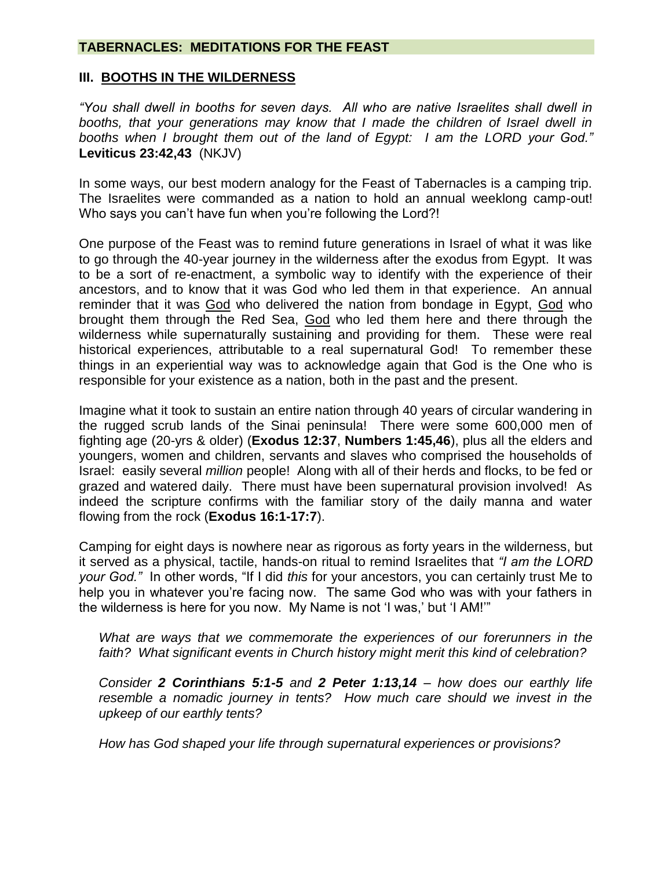#### **III. BOOTHS IN THE WILDERNESS**

*"You shall dwell in booths for seven days. All who are native Israelites shall dwell in booths, that your generations may know that I made the children of Israel dwell in booths when I brought them out of the land of Egypt: I am the LORD your God."*  **Leviticus 23:42,43** (NKJV)

In some ways, our best modern analogy for the Feast of Tabernacles is a camping trip. The Israelites were commanded as a nation to hold an annual weeklong camp-out! Who says you can't have fun when you're following the Lord?!

One purpose of the Feast was to remind future generations in Israel of what it was like to go through the 40-year journey in the wilderness after the exodus from Egypt. It was to be a sort of re-enactment, a symbolic way to identify with the experience of their ancestors, and to know that it was God who led them in that experience. An annual reminder that it was God who delivered the nation from bondage in Egypt, God who brought them through the Red Sea, God who led them here and there through the wilderness while supernaturally sustaining and providing for them. These were real historical experiences, attributable to a real supernatural God! To remember these things in an experiential way was to acknowledge again that God is the One who is responsible for your existence as a nation, both in the past and the present.

Imagine what it took to sustain an entire nation through 40 years of circular wandering in the rugged scrub lands of the Sinai peninsula! There were some 600,000 men of fighting age (20-yrs & older) (**Exodus 12:37**, **Numbers 1:45,46**), plus all the elders and youngers, women and children, servants and slaves who comprised the households of Israel: easily several *million* people! Along with all of their herds and flocks, to be fed or grazed and watered daily. There must have been supernatural provision involved! As indeed the scripture confirms with the familiar story of the daily manna and water flowing from the rock (**Exodus 16:1-17:7**).

Camping for eight days is nowhere near as rigorous as forty years in the wilderness, but it served as a physical, tactile, hands-on ritual to remind Israelites that *"I am the LORD your God."* In other words, "If I did *this* for your ancestors, you can certainly trust Me to help you in whatever you're facing now. The same God who was with your fathers in the wilderness is here for you now. My Name is not 'I was,' but 'I AM!'"

*What are ways that we commemorate the experiences of our forerunners in the faith? What significant events in Church history might merit this kind of celebration?*

*Consider 2 Corinthians 5:1-5 and 2 Peter 1:13,14 – how does our earthly life resemble a nomadic journey in tents? How much care should we invest in the upkeep of our earthly tents?*

*How has God shaped your life through supernatural experiences or provisions?*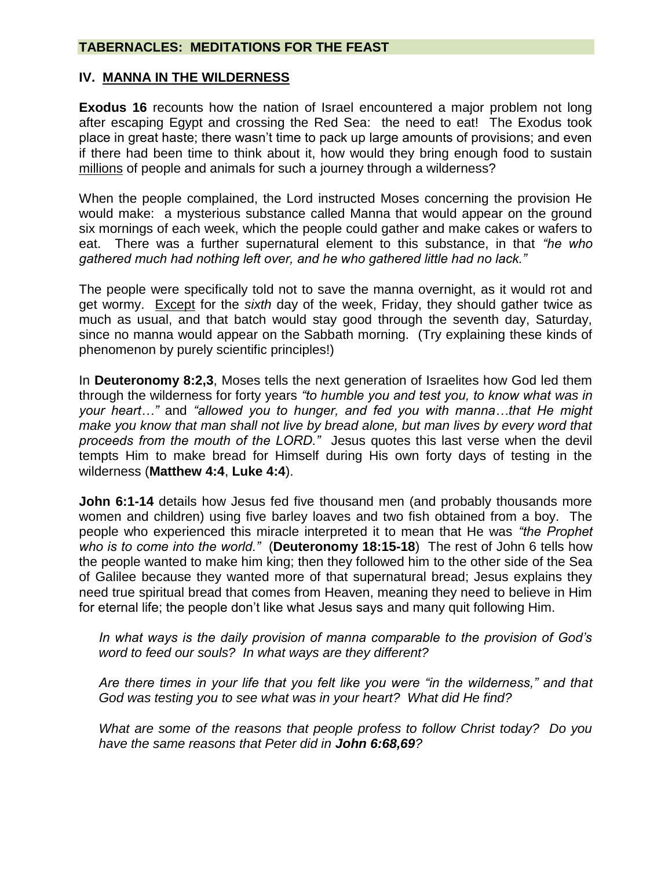#### **IV. MANNA IN THE WILDERNESS**

**Exodus 16** recounts how the nation of Israel encountered a major problem not long after escaping Egypt and crossing the Red Sea: the need to eat! The Exodus took place in great haste; there wasn't time to pack up large amounts of provisions; and even if there had been time to think about it, how would they bring enough food to sustain millions of people and animals for such a journey through a wilderness?

When the people complained, the Lord instructed Moses concerning the provision He would make: a mysterious substance called Manna that would appear on the ground six mornings of each week, which the people could gather and make cakes or wafers to eat. There was a further supernatural element to this substance, in that *"he who gathered much had nothing left over, and he who gathered little had no lack."*

The people were specifically told not to save the manna overnight, as it would rot and get wormy. Except for the *sixth* day of the week, Friday, they should gather twice as much as usual, and that batch would stay good through the seventh day, Saturday, since no manna would appear on the Sabbath morning. (Try explaining these kinds of phenomenon by purely scientific principles!)

In **Deuteronomy 8:2,3**, Moses tells the next generation of Israelites how God led them through the wilderness for forty years *"to humble you and test you, to know what was in your heart…"* and *"allowed you to hunger, and fed you with manna…that He might make you know that man shall not live by bread alone, but man lives by every word that proceeds from the mouth of the LORD."* Jesus quotes this last verse when the devil tempts Him to make bread for Himself during His own forty days of testing in the wilderness (**Matthew 4:4**, **Luke 4:4**).

**John 6:1-14** details how Jesus fed five thousand men (and probably thousands more women and children) using five barley loaves and two fish obtained from a boy. The people who experienced this miracle interpreted it to mean that He was *"the Prophet who is to come into the world."* (**Deuteronomy 18:15-18**) The rest of John 6 tells how the people wanted to make him king; then they followed him to the other side of the Sea of Galilee because they wanted more of that supernatural bread; Jesus explains they need true spiritual bread that comes from Heaven, meaning they need to believe in Him for eternal life; the people don't like what Jesus says and many quit following Him.

*In what ways is the daily provision of manna comparable to the provision of God's word to feed our souls? In what ways are they different?*

*Are there times in your life that you felt like you were "in the wilderness," and that God was testing you to see what was in your heart? What did He find?*

*What are some of the reasons that people profess to follow Christ today? Do you have the same reasons that Peter did in John 6:68,69?*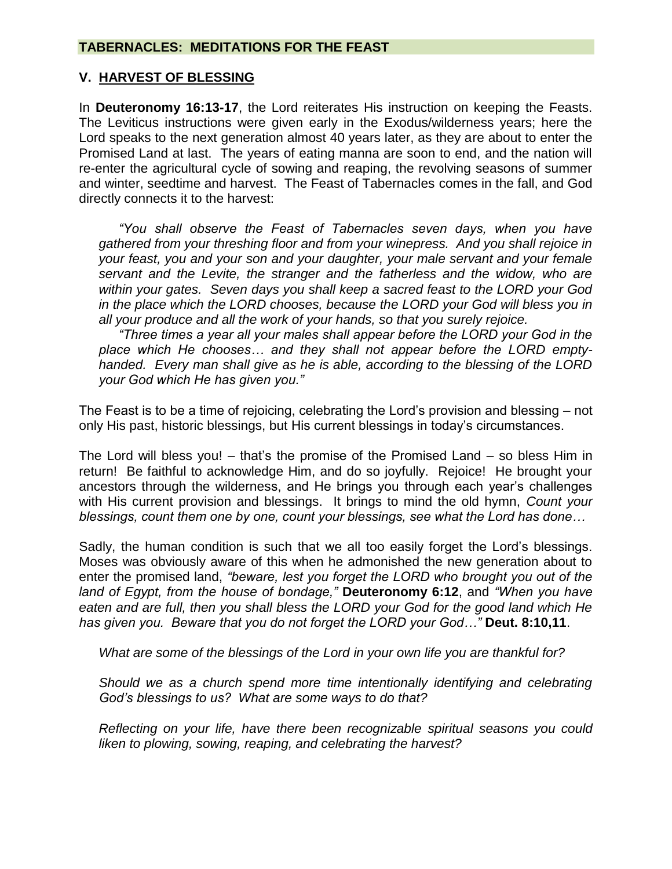### **V. HARVEST OF BLESSING**

In **Deuteronomy 16:13-17**, the Lord reiterates His instruction on keeping the Feasts. The Leviticus instructions were given early in the Exodus/wilderness years; here the Lord speaks to the next generation almost 40 years later, as they are about to enter the Promised Land at last. The years of eating manna are soon to end, and the nation will re-enter the agricultural cycle of sowing and reaping, the revolving seasons of summer and winter, seedtime and harvest. The Feast of Tabernacles comes in the fall, and God directly connects it to the harvest:

*"You shall observe the Feast of Tabernacles seven days, when you have gathered from your threshing floor and from your winepress. And you shall rejoice in your feast, you and your son and your daughter, your male servant and your female servant and the Levite, the stranger and the fatherless and the widow, who are within your gates. Seven days you shall keep a sacred feast to the LORD your God in the place which the LORD chooses, because the LORD your God will bless you in all your produce and all the work of your hands, so that you surely rejoice.*

*"Three times a year all your males shall appear before the LORD your God in the place which He chooses… and they shall not appear before the LORD emptyhanded. Every man shall give as he is able, according to the blessing of the LORD your God which He has given you."*

The Feast is to be a time of rejoicing, celebrating the Lord's provision and blessing – not only His past, historic blessings, but His current blessings in today's circumstances.

The Lord will bless you! – that's the promise of the Promised Land – so bless Him in return! Be faithful to acknowledge Him, and do so joyfully. Rejoice! He brought your ancestors through the wilderness, and He brings you through each year's challenges with His current provision and blessings. It brings to mind the old hymn, *Count your blessings, count them one by one, count your blessings, see what the Lord has done…*

Sadly, the human condition is such that we all too easily forget the Lord's blessings. Moses was obviously aware of this when he admonished the new generation about to enter the promised land, *"beware, lest you forget the LORD who brought you out of the land of Egypt, from the house of bondage,"* **Deuteronomy 6:12**, and *"When you have eaten and are full, then you shall bless the LORD your God for the good land which He has given you. Beware that you do not forget the LORD your God…"* **Deut. 8:10,11**.

*What are some of the blessings of the Lord in your own life you are thankful for?*

*Should we as a church spend more time intentionally identifying and celebrating God's blessings to us? What are some ways to do that?*

*Reflecting on your life, have there been recognizable spiritual seasons you could liken to plowing, sowing, reaping, and celebrating the harvest?*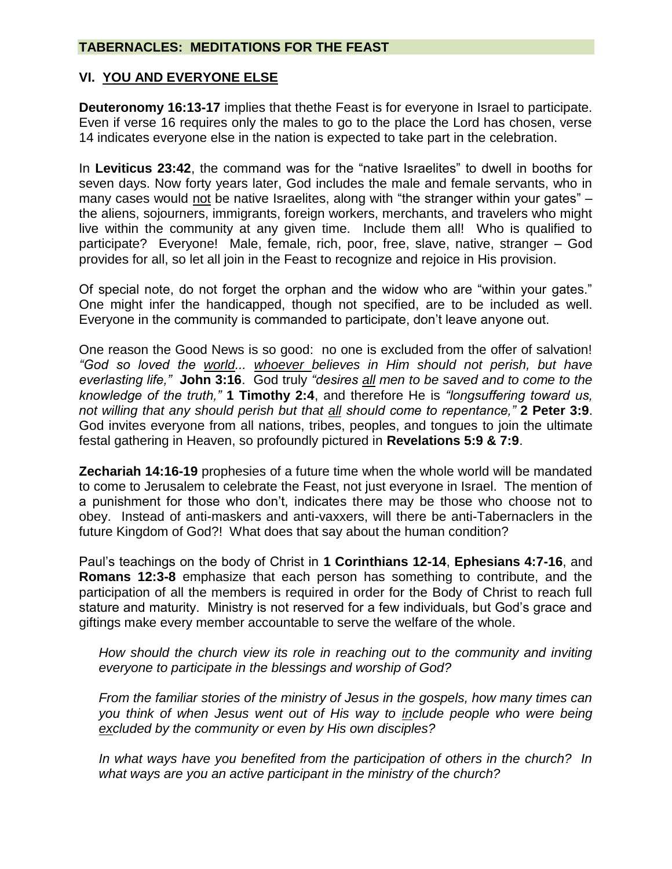## **VI. YOU AND EVERYONE ELSE**

**Deuteronomy 16:13-17** implies that thethe Feast is for everyone in Israel to participate. Even if verse 16 requires only the males to go to the place the Lord has chosen, verse 14 indicates everyone else in the nation is expected to take part in the celebration.

In **Leviticus 23:42**, the command was for the "native Israelites" to dwell in booths for seven days. Now forty years later, God includes the male and female servants, who in many cases would not be native Israelites, along with "the stranger within your gates" – the aliens, sojourners, immigrants, foreign workers, merchants, and travelers who might live within the community at any given time. Include them all! Who is qualified to participate? Everyone! Male, female, rich, poor, free, slave, native, stranger – God provides for all, so let all join in the Feast to recognize and rejoice in His provision.

Of special note, do not forget the orphan and the widow who are "within your gates." One might infer the handicapped, though not specified, are to be included as well. Everyone in the community is commanded to participate, don't leave anyone out.

One reason the Good News is so good: no one is excluded from the offer of salvation! *"God so loved the world... whoever believes in Him should not perish, but have everlasting life,"* **John 3:16**. God truly *"desires all men to be saved and to come to the knowledge of the truth,"* **1 Timothy 2:4**, and therefore He is *"longsuffering toward us, not willing that any should perish but that all should come to repentance,"* **2 Peter 3:9**. God invites everyone from all nations, tribes, peoples, and tongues to join the ultimate festal gathering in Heaven, so profoundly pictured in **Revelations 5:9 & 7:9**.

**Zechariah 14:16-19** prophesies of a future time when the whole world will be mandated to come to Jerusalem to celebrate the Feast, not just everyone in Israel. The mention of a punishment for those who don't, indicates there may be those who choose not to obey. Instead of anti-maskers and anti-vaxxers, will there be anti-Tabernaclers in the future Kingdom of God?! What does that say about the human condition?

Paul's teachings on the body of Christ in **1 Corinthians 12-14**, **Ephesians 4:7-16**, and **Romans 12:3-8** emphasize that each person has something to contribute, and the participation of all the members is required in order for the Body of Christ to reach full stature and maturity. Ministry is not reserved for a few individuals, but God's grace and giftings make every member accountable to serve the welfare of the whole.

*How should the church view its role in reaching out to the community and inviting everyone to participate in the blessings and worship of God?*

*From the familiar stories of the ministry of Jesus in the gospels, how many times can you think of when Jesus went out of His way to include people who were being excluded by the community or even by His own disciples?*

*In what ways have you benefited from the participation of others in the church? In what ways are you an active participant in the ministry of the church?*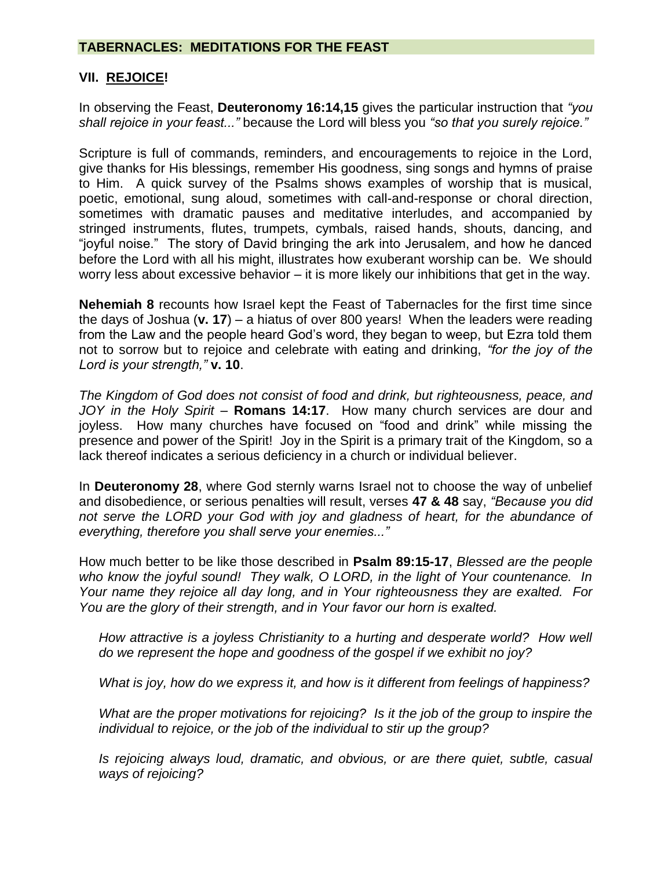### **VII. REJOICE!**

In observing the Feast, **Deuteronomy 16:14,15** gives the particular instruction that *"you shall rejoice in your feast..."* because the Lord will bless you *"so that you surely rejoice."*

Scripture is full of commands, reminders, and encouragements to rejoice in the Lord, give thanks for His blessings, remember His goodness, sing songs and hymns of praise to Him. A quick survey of the Psalms shows examples of worship that is musical, poetic, emotional, sung aloud, sometimes with call-and-response or choral direction, sometimes with dramatic pauses and meditative interludes, and accompanied by stringed instruments, flutes, trumpets, cymbals, raised hands, shouts, dancing, and "joyful noise." The story of David bringing the ark into Jerusalem, and how he danced before the Lord with all his might, illustrates how exuberant worship can be. We should worry less about excessive behavior – it is more likely our inhibitions that get in the way.

**Nehemiah 8** recounts how Israel kept the Feast of Tabernacles for the first time since the days of Joshua (**v. 17**) – a hiatus of over 800 years! When the leaders were reading from the Law and the people heard God's word, they began to weep, but Ezra told them not to sorrow but to rejoice and celebrate with eating and drinking, *"for the joy of the Lord is your strength,"* **v. 10**.

*The Kingdom of God does not consist of food and drink, but righteousness, peace, and JOY in the Holy Spirit* – **Romans 14:17**. How many church services are dour and joyless. How many churches have focused on "food and drink" while missing the presence and power of the Spirit! Joy in the Spirit is a primary trait of the Kingdom, so a lack thereof indicates a serious deficiency in a church or individual believer.

In **Deuteronomy 28**, where God sternly warns Israel not to choose the way of unbelief and disobedience, or serious penalties will result, verses **47 & 48** say, *"Because you did not serve the LORD your God with joy and gladness of heart, for the abundance of everything, therefore you shall serve your enemies..."*

How much better to be like those described in **Psalm 89:15-17**, *Blessed are the people who know the joyful sound! They walk, O LORD, in the light of Your countenance. In Your name they rejoice all day long, and in Your righteousness they are exalted. For You are the glory of their strength, and in Your favor our horn is exalted.* 

*How attractive is a joyless Christianity to a hurting and desperate world? How well do we represent the hope and goodness of the gospel if we exhibit no joy?* 

*What is joy, how do we express it, and how is it different from feelings of happiness?*

*What are the proper motivations for rejoicing? Is it the job of the group to inspire the individual to rejoice, or the job of the individual to stir up the group?*

*Is rejoicing always loud, dramatic, and obvious, or are there quiet, subtle, casual ways of rejoicing?*